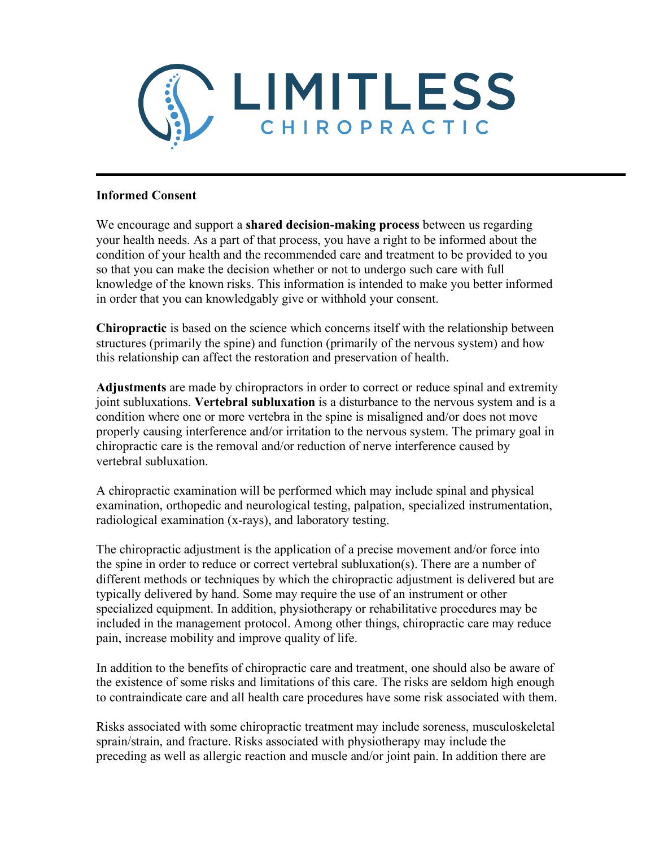

## **Informed Consent**

We encourage and support a **shared decision-making process** between us regarding your health needs. As a part of that process, you have a right to be informed about the condition of your health and the recommended care and treatment to be provided to you so that you can make the decision whether or not to undergo such care with full knowledge of the known risks. This information is intended to make you better informed in order that you can knowledgably give or withhold your consent.

**Chiropractic** is based on the science which concerns itself with the relationship between structures (primarily the spine) and function (primarily of the nervous system) and how this relationship can affect the restoration and preservation of health.

**Adjustments** are made by chiropractors in order to correct or reduce spinal and extremity joint subluxations. **Vertebral subluxation** is a disturbance to the nervous system and is a condition where one or more vertebra in the spine is misaligned and/or does not move properly causing interference and/or irritation to the nervous system. The primary goal in chiropractic care is the removal and/or reduction of nerve interference caused by vertebral subluxation.

A chiropractic examination will be performed which may include spinal and physical examination, orthopedic and neurological testing, palpation, specialized instrumentation, radiological examination (x-rays), and laboratory testing.

The chiropractic adjustment is the application of a precise movement and/or force into the spine in order to reduce or correct vertebral subluxation(s). There are a number of different methods or techniques by which the chiropractic adjustment is delivered but are typically delivered by hand. Some may require the use of an instrument or other specialized equipment. In addition, physiotherapy or rehabilitative procedures may be included in the management protocol. Among other things, chiropractic care may reduce pain, increase mobility and improve quality of life.

In addition to the benefits of chiropractic care and treatment, one should also be aware of the existence of some risks and limitations of this care. The risks are seldom high enough to contraindicate care and all health care procedures have some risk associated with them.

Risks associated with some chiropractic treatment may include soreness, musculoskeletal sprain/strain, and fracture. Risks associated with physiotherapy may include the preceding as well as allergic reaction and muscle and/or joint pain. In addition there are